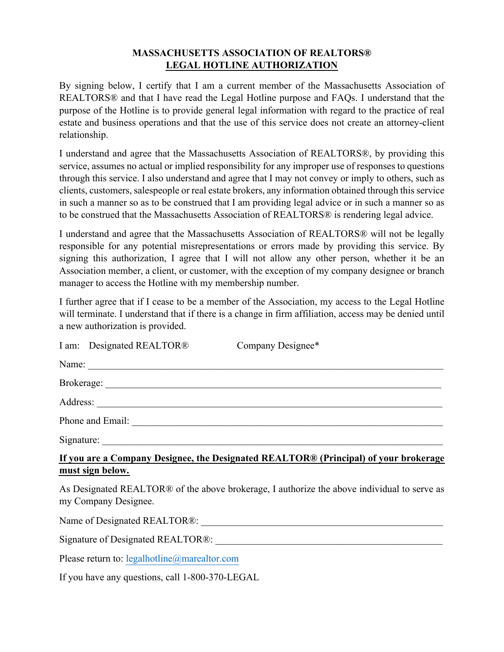# **MASSACHUSETTS ASSOCIATION OF REALTORS® LEGAL HOTLINE AUTHORIZATION**

By signing below, I certify that I am a current member of the Massachusetts Association of REALTORS® and that I have read the Legal Hotline purpose and FAQs. I understand that the purpose of the Hotline is to provide general legal information with regard to the practice of real estate and business operations and that the use of this service does not create an attorney-client relationship.

I understand and agree that the Massachusetts Association of REALTORS®, by providing this service, assumes no actual or implied responsibility for any improper use of responses to questions through this service. I also understand and agree that I may not convey or imply to others, such as clients, customers, salespeople or real estate brokers, any information obtained through this service in such a manner so as to be construed that I am providing legal advice or in such a manner so as to be construed that the Massachusetts Association of REALTORS® is rendering legal advice.

I understand and agree that the Massachusetts Association of REALTORS® will not be legally responsible for any potential misrepresentations or errors made by providing this service. By signing this authorization, I agree that I will not allow any other person, whether it be an Association member, a client, or customer, with the exception of my company designee or branch manager to access the Hotline with my membership number.

I further agree that if I cease to be a member of the Association, my access to the Legal Hotline will terminate. I understand that if there is a change in firm affiliation, access may be denied until a new authorization is provided.

|                                                                                                                     | I am: Designated REALTOR® | Company Designee* |
|---------------------------------------------------------------------------------------------------------------------|---------------------------|-------------------|
|                                                                                                                     | Name:                     |                   |
|                                                                                                                     |                           |                   |
|                                                                                                                     |                           |                   |
|                                                                                                                     |                           |                   |
|                                                                                                                     |                           |                   |
| If you are a Company Designee, the Designated REALTOR® (Principal) of your brokerage<br>must sign below.            |                           |                   |
| As Designated REALTOR® of the above brokerage, I authorize the above individual to serve as<br>my Company Designee. |                           |                   |
|                                                                                                                     |                           |                   |
| Signature of Designated REALTOR®:                                                                                   |                           |                   |
|                                                                                                                     |                           |                   |

Please return to: legalhotline@marealtor.com

If you have any questions, call 1-800-370-LEGAL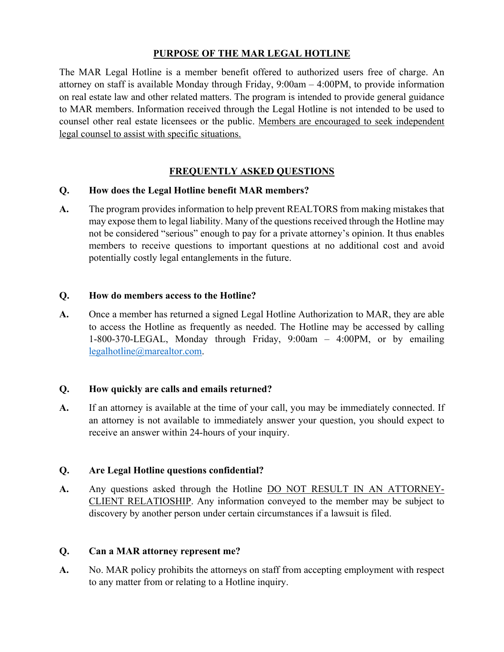# **PURPOSE OF THE MAR LEGAL HOTLINE**

The MAR Legal Hotline is a member benefit offered to authorized users free of charge. An attorney on staff is available Monday through Friday, 9:00am – 4:00PM, to provide information on real estate law and other related matters. The program is intended to provide general guidance to MAR members. Information received through the Legal Hotline is not intended to be used to counsel other real estate licensees or the public. Members are encouraged to seek independent legal counsel to assist with specific situations.

# **FREQUENTLY ASKED QUESTIONS**

### **Q. How does the Legal Hotline benefit MAR members?**

**A.** The program provides information to help prevent REALTORS from making mistakes that may expose them to legal liability. Many of the questions received through the Hotline may not be considered "serious" enough to pay for a private attorney's opinion. It thus enables members to receive questions to important questions at no additional cost and avoid potentially costly legal entanglements in the future.

### **Q. How do members access to the Hotline?**

**A.** Once a member has returned a signed Legal Hotline Authorization to MAR, they are able to access the Hotline as frequently as needed. The Hotline may be accessed by calling 1-800-370-LEGAL, Monday through Friday, 9:00am – 4:00PM, or by emailing legalhotline@marealtor.com.

#### **Q. How quickly are calls and emails returned?**

**A.** If an attorney is available at the time of your call, you may be immediately connected. If an attorney is not available to immediately answer your question, you should expect to receive an answer within 24-hours of your inquiry.

#### **Q. Are Legal Hotline questions confidential?**

**A.** Any questions asked through the Hotline DO NOT RESULT IN AN ATTORNEY-CLIENT RELATIOSHIP. Any information conveyed to the member may be subject to discovery by another person under certain circumstances if a lawsuit is filed.

#### **Q. Can a MAR attorney represent me?**

A. No. MAR policy prohibits the attorneys on staff from accepting employment with respect to any matter from or relating to a Hotline inquiry.